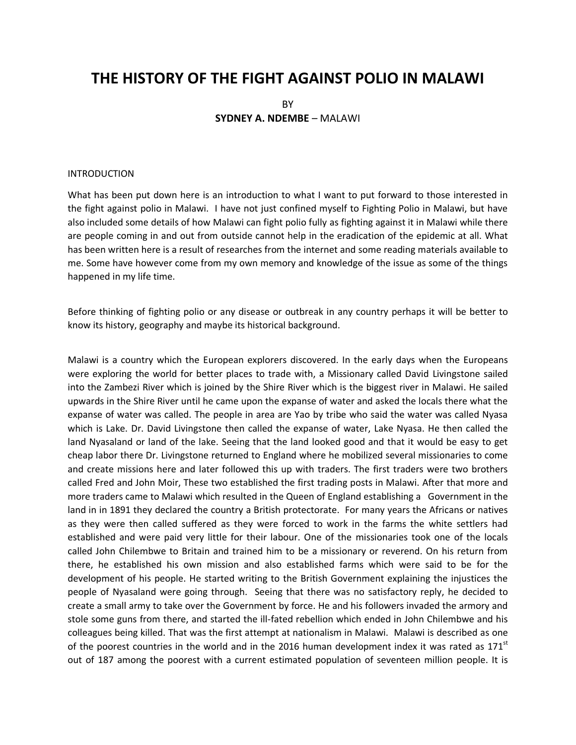# **THE HISTORY OF THE FIGHT AGAINST POLIO IN MALAWI**

BY **SYDNEY A. NDEMBE** – MALAWI

#### INTRODUCTION

What has been put down here is an introduction to what I want to put forward to those interested in the fight against polio in Malawi. I have not just confined myself to Fighting Polio in Malawi, but have also included some details of how Malawi can fight polio fully as fighting against it in Malawi while there are people coming in and out from outside cannot help in the eradication of the epidemic at all. What has been written here is a result of researches from the internet and some reading materials available to me. Some have however come from my own memory and knowledge of the issue as some of the things happened in my life time.

Before thinking of fighting polio or any disease or outbreak in any country perhaps it will be better to know its history, geography and maybe its historical background.

Malawi is a country which the European explorers discovered. In the early days when the Europeans were exploring the world for better places to trade with, a Missionary called David Livingstone sailed into the Zambezi River which is joined by the Shire River which is the biggest river in Malawi. He sailed upwards in the Shire River until he came upon the expanse of water and asked the locals there what the expanse of water was called. The people in area are Yao by tribe who said the water was called Nyasa which is Lake. Dr. David Livingstone then called the expanse of water, Lake Nyasa. He then called the land Nyasaland or land of the lake. Seeing that the land looked good and that it would be easy to get cheap labor there Dr. Livingstone returned to England where he mobilized several missionaries to come and create missions here and later followed this up with traders. The first traders were two brothers called Fred and John Moir, These two established the first trading posts in Malawi. After that more and more traders came to Malawi which resulted in the Queen of England establishing a Government in the land in in 1891 they declared the country a British protectorate. For many years the Africans or natives as they were then called suffered as they were forced to work in the farms the white settlers had established and were paid very little for their labour. One of the missionaries took one of the locals called John Chilembwe to Britain and trained him to be a missionary or reverend. On his return from there, he established his own mission and also established farms which were said to be for the development of his people. He started writing to the British Government explaining the injustices the people of Nyasaland were going through. Seeing that there was no satisfactory reply, he decided to create a small army to take over the Government by force. He and his followers invaded the armory and stole some guns from there, and started the ill-fated rebellion which ended in John Chilembwe and his colleagues being killed. That was the first attempt at nationalism in Malawi. Malawi is described as one of the poorest countries in the world and in the 2016 human development index it was rated as 171<sup>st</sup> out of 187 among the poorest with a current estimated population of seventeen million people. It is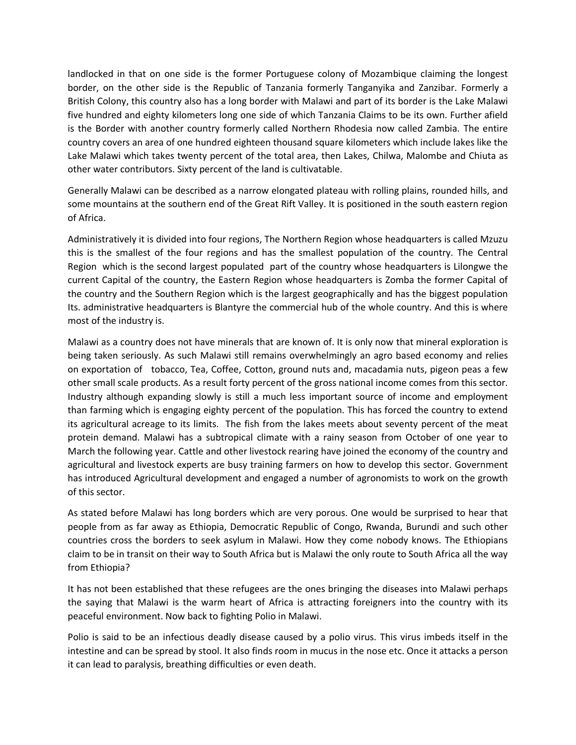landlocked in that on one side is the former Portuguese colony of Mozambique claiming the longest border, on the other side is the Republic of Tanzania formerly Tanganyika and Zanzibar. Formerly a British Colony, this country also has a long border with Malawi and part of its border is the Lake Malawi five hundred and eighty kilometers long one side of which Tanzania Claims to be its own. Further afield is the Border with another country formerly called Northern Rhodesia now called Zambia. The entire country covers an area of one hundred eighteen thousand square kilometers which include lakes like the Lake Malawi which takes twenty percent of the total area, then Lakes, Chilwa, Malombe and Chiuta as other water contributors. Sixty percent of the land is cultivatable.

Generally Malawi can be described as a narrow elongated plateau with rolling plains, rounded hills, and some mountains at the southern end of the Great Rift Valley. It is positioned in the south eastern region of Africa.

Administratively it is divided into four regions, The Northern Region whose headquarters is called Mzuzu this is the smallest of the four regions and has the smallest population of the country. The Central Region which is the second largest populated part of the country whose headquarters is Lilongwe the current Capital of the country, the Eastern Region whose headquarters is Zomba the former Capital of the country and the Southern Region which is the largest geographically and has the biggest population Its. administrative headquarters is Blantyre the commercial hub of the whole country. And this is where most of the industry is.

Malawi as a country does not have minerals that are known of. It is only now that mineral exploration is being taken seriously. As such Malawi still remains overwhelmingly an agro based economy and relies on exportation of tobacco, Tea, Coffee, Cotton, ground nuts and, macadamia nuts, pigeon peas a few other small scale products. As a result forty percent of the gross national income comes from this sector. Industry although expanding slowly is still a much less important source of income and employment than farming which is engaging eighty percent of the population. This has forced the country to extend its agricultural acreage to its limits. The fish from the lakes meets about seventy percent of the meat protein demand. Malawi has a subtropical climate with a rainy season from October of one year to March the following year. Cattle and other livestock rearing have joined the economy of the country and agricultural and livestock experts are busy training farmers on how to develop this sector. Government has introduced Agricultural development and engaged a number of agronomists to work on the growth of this sector.

As stated before Malawi has long borders which are very porous. One would be surprised to hear that people from as far away as Ethiopia, Democratic Republic of Congo, Rwanda, Burundi and such other countries cross the borders to seek asylum in Malawi. How they come nobody knows. The Ethiopians claim to be in transit on their way to South Africa but is Malawi the only route to South Africa all the way from Ethiopia?

It has not been established that these refugees are the ones bringing the diseases into Malawi perhaps the saying that Malawi is the warm heart of Africa is attracting foreigners into the country with its peaceful environment. Now back to fighting Polio in Malawi.

Polio is said to be an infectious deadly disease caused by a polio virus. This virus imbeds itself in the intestine and can be spread by stool. It also finds room in mucus in the nose etc. Once it attacks a person it can lead to paralysis, breathing difficulties or even death.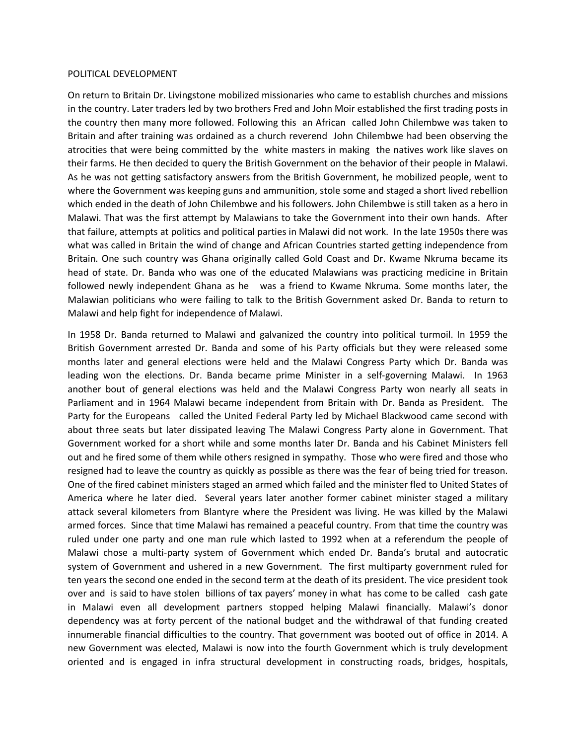## POLITICAL DEVELOPMENT

On return to Britain Dr. Livingstone mobilized missionaries who came to establish churches and missions in the country. Later traders led by two brothers Fred and John Moir established the first trading posts in the country then many more followed. Following this an African called John Chilembwe was taken to Britain and after training was ordained as a church reverend John Chilembwe had been observing the atrocities that were being committed by the white masters in making the natives work like slaves on their farms. He then decided to query the British Government on the behavior of their people in Malawi. As he was not getting satisfactory answers from the British Government, he mobilized people, went to where the Government was keeping guns and ammunition, stole some and staged a short lived rebellion which ended in the death of John Chilembwe and his followers. John Chilembwe is still taken as a hero in Malawi. That was the first attempt by Malawians to take the Government into their own hands. After that failure, attempts at politics and political parties in Malawi did not work. In the late 1950s there was what was called in Britain the wind of change and African Countries started getting independence from Britain. One such country was Ghana originally called Gold Coast and Dr. Kwame Nkruma became its head of state. Dr. Banda who was one of the educated Malawians was practicing medicine in Britain followed newly independent Ghana as he was a friend to Kwame Nkruma. Some months later, the Malawian politicians who were failing to talk to the British Government asked Dr. Banda to return to Malawi and help fight for independence of Malawi.

In 1958 Dr. Banda returned to Malawi and galvanized the country into political turmoil. In 1959 the British Government arrested Dr. Banda and some of his Party officials but they were released some months later and general elections were held and the Malawi Congress Party which Dr. Banda was leading won the elections. Dr. Banda became prime Minister in a self-governing Malawi. In 1963 another bout of general elections was held and the Malawi Congress Party won nearly all seats in Parliament and in 1964 Malawi became independent from Britain with Dr. Banda as President. The Party for the Europeans called the United Federal Party led by Michael Blackwood came second with about three seats but later dissipated leaving The Malawi Congress Party alone in Government. That Government worked for a short while and some months later Dr. Banda and his Cabinet Ministers fell out and he fired some of them while others resigned in sympathy. Those who were fired and those who resigned had to leave the country as quickly as possible as there was the fear of being tried for treason. One of the fired cabinet ministers staged an armed which failed and the minister fled to United States of America where he later died. Several years later another former cabinet minister staged a military attack several kilometers from Blantyre where the President was living. He was killed by the Malawi armed forces. Since that time Malawi has remained a peaceful country. From that time the country was ruled under one party and one man rule which lasted to 1992 when at a referendum the people of Malawi chose a multi-party system of Government which ended Dr. Banda's brutal and autocratic system of Government and ushered in a new Government. The first multiparty government ruled for ten years the second one ended in the second term at the death of its president. The vice president took over and is said to have stolen billions of tax payers' money in what has come to be called cash gate in Malawi even all development partners stopped helping Malawi financially. Malawi's donor dependency was at forty percent of the national budget and the withdrawal of that funding created innumerable financial difficulties to the country. That government was booted out of office in 2014. A new Government was elected, Malawi is now into the fourth Government which is truly development oriented and is engaged in infra structural development in constructing roads, bridges, hospitals,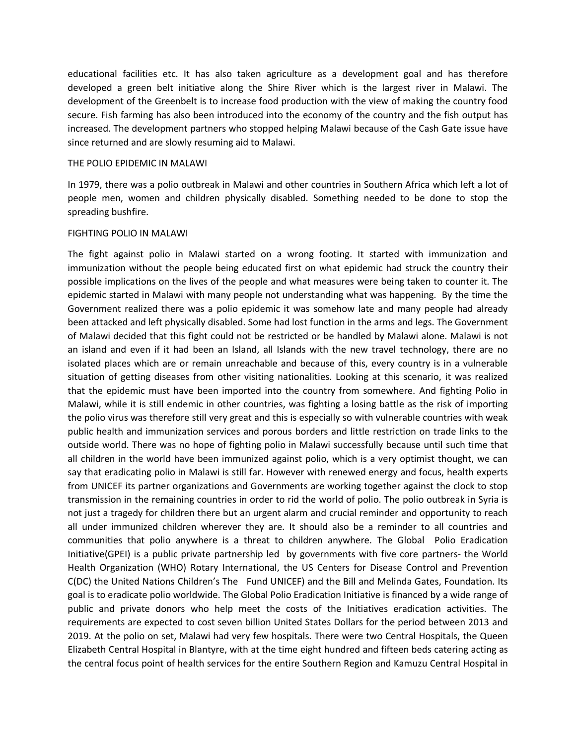educational facilities etc. It has also taken agriculture as a development goal and has therefore developed a green belt initiative along the Shire River which is the largest river in Malawi. The development of the Greenbelt is to increase food production with the view of making the country food secure. Fish farming has also been introduced into the economy of the country and the fish output has increased. The development partners who stopped helping Malawi because of the Cash Gate issue have since returned and are slowly resuming aid to Malawi.

### THE POLIO EPIDEMIC IN MALAWI

In 1979, there was a polio outbreak in Malawi and other countries in Southern Africa which left a lot of people men, women and children physically disabled. Something needed to be done to stop the spreading bushfire.

## FIGHTING POLIO IN MALAWI

The fight against polio in Malawi started on a wrong footing. It started with immunization and immunization without the people being educated first on what epidemic had struck the country their possible implications on the lives of the people and what measures were being taken to counter it. The epidemic started in Malawi with many people not understanding what was happening. By the time the Government realized there was a polio epidemic it was somehow late and many people had already been attacked and left physically disabled. Some had lost function in the arms and legs. The Government of Malawi decided that this fight could not be restricted or be handled by Malawi alone. Malawi is not an island and even if it had been an Island, all Islands with the new travel technology, there are no isolated places which are or remain unreachable and because of this, every country is in a vulnerable situation of getting diseases from other visiting nationalities. Looking at this scenario, it was realized that the epidemic must have been imported into the country from somewhere. And fighting Polio in Malawi, while it is still endemic in other countries, was fighting a losing battle as the risk of importing the polio virus was therefore still very great and this is especially so with vulnerable countries with weak public health and immunization services and porous borders and little restriction on trade links to the outside world. There was no hope of fighting polio in Malawi successfully because until such time that all children in the world have been immunized against polio, which is a very optimist thought, we can say that eradicating polio in Malawi is still far. However with renewed energy and focus, health experts from UNICEF its partner organizations and Governments are working together against the clock to stop transmission in the remaining countries in order to rid the world of polio. The polio outbreak in Syria is not just a tragedy for children there but an urgent alarm and crucial reminder and opportunity to reach all under immunized children wherever they are. It should also be a reminder to all countries and communities that polio anywhere is a threat to children anywhere. The Global Polio Eradication Initiative(GPEI) is a public private partnership led by governments with five core partners- the World Health Organization (WHO) Rotary International, the US Centers for Disease Control and Prevention C(DC) the United Nations Children's The Fund UNICEF) and the Bill and Melinda Gates, Foundation. Its goal is to eradicate polio worldwide. The Global Polio Eradication Initiative is financed by a wide range of public and private donors who help meet the costs of the Initiatives eradication activities. The requirements are expected to cost seven billion United States Dollars for the period between 2013 and 2019. At the polio on set, Malawi had very few hospitals. There were two Central Hospitals, the Queen Elizabeth Central Hospital in Blantyre, with at the time eight hundred and fifteen beds catering acting as the central focus point of health services for the entire Southern Region and Kamuzu Central Hospital in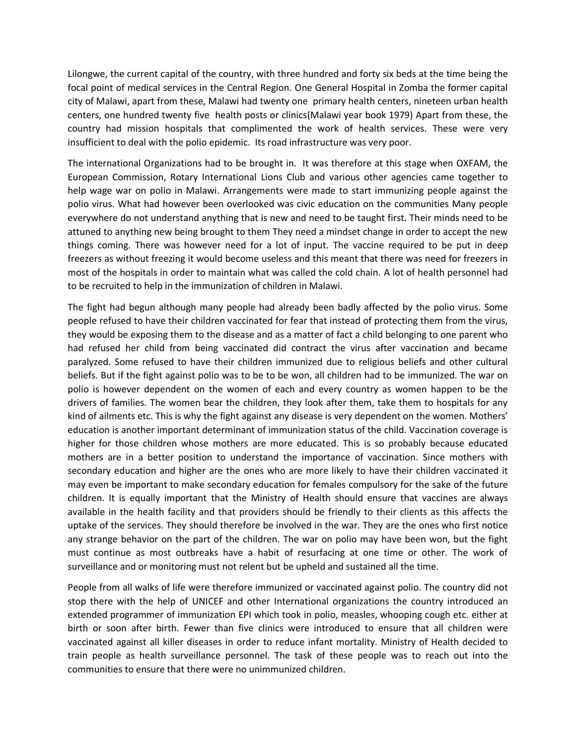Lilongwe, the current capital of the country, with three hundred and forty six beds at the time being the focal point of medical services in the Central Region. One General Hospital in Zomba the former capital city of Malawi, apart from these, Malawi had twenty one primary health centers, nineteen urban health centers, one hundred twenty five health posts or clinics(Malawi year book 1979) Apart from these, the country had mission hospitals that complimented the work of health services. These were very insufficient to deal with the polio epidemic. Its road infrastructure was very poor.

The international Organizations had to be brought in. It was therefore at this stage when OXFAM, the European Commission, Rotary International Lions Club and various other agencies came together to help wage war on polio in Malawi. Arrangements were made to start immunizing people against the polio virus. What had however been overlooked was civic education on the communities Many people everywhere do not understand anything that is new and need to be taught first. Their minds need to be attuned to anything new being brought to them They need a mindset change in order to accept the new things coming. There was however need for a lot of input. The vaccine required to be put in deep freezers as without freezing it would become useless and this meant that there was need for freezers in most of the hospitals in order to maintain what was called the cold chain. A lot of health personnel had to be recruited to help in the immunization of children in Malawi.

The fight had begun although many people had already been badly affected by the polio virus. Some people refused to have their children vaccinated for fear that instead of protecting them from the virus, they would be exposing them to the disease and as a matter of fact a child belonging to one parent who had refused her child from being vaccinated did contract the virus after vaccination and became paralyzed. Some refused to have their children immunized due to religious beliefs and other cultural beliefs. But if the fight against polio was to be to be won, all children had to be immunized. The war on polio is however dependent on the women of each and every country as women happen to be the drivers of families. The women bear the children, they look after them, take them to hospitals for any kind of ailments etc. This is why the fight against any disease is very dependent on the women. Mothers' education is another important determinant of immunization status of the child. Vaccination coverage is higher for those children whose mothers are more educated. This is so probably because educated mothers are in a better position to understand the importance of vaccination. Since mothers with secondary education and higher are the ones who are more likely to have their children vaccinated it may even be important to make secondary education for females compulsory for the sake of the future children. It is equally important that the Ministry of Health should ensure that vaccines are always available in the health facility and that providers should be friendly to their clients as this affects the uptake of the services. They should therefore be involved in the war. They are the ones who first notice any strange behavior on the part of the children. The war on polio may have been won, but the fight must continue as most outbreaks have a habit of resurfacing at one time or other. The work of surveillance and or monitoring must not relent but be upheld and sustained all the time.

People from all walks of life were therefore immunized or vaccinated against polio. The country did not stop there with the help of UNICEF and other International organizations the country introduced an extended programmer of immunization EPI which took in polio, measles, whooping cough etc. either at birth or soon after birth. Fewer than five clinics were introduced to ensure that all children were vaccinated against all killer diseases in order to reduce infant mortality. Ministry of Health decided to train people as health surveillance personnel. The task of these people was to reach out into the communities to ensure that there were no unimmunized children.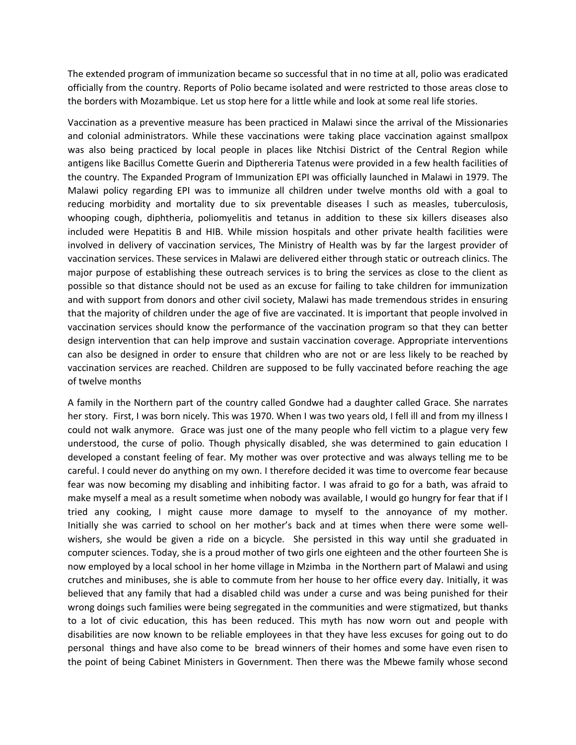The extended program of immunization became so successful that in no time at all, polio was eradicated officially from the country. Reports of Polio became isolated and were restricted to those areas close to the borders with Mozambique. Let us stop here for a little while and look at some real life stories.

Vaccination as a preventive measure has been practiced in Malawi since the arrival of the Missionaries and colonial administrators. While these vaccinations were taking place vaccination against smallpox was also being practiced by local people in places like Ntchisi District of the Central Region while antigens like Bacillus Comette Guerin and Dipthereria Tatenus were provided in a few health facilities of the country. The Expanded Program of Immunization EPI was officially launched in Malawi in 1979. The Malawi policy regarding EPI was to immunize all children under twelve months old with a goal to reducing morbidity and mortality due to six preventable diseases l such as measles, tuberculosis, whooping cough, diphtheria, poliomyelitis and tetanus in addition to these six killers diseases also included were Hepatitis B and HIB. While mission hospitals and other private health facilities were involved in delivery of vaccination services, The Ministry of Health was by far the largest provider of vaccination services. These services in Malawi are delivered either through static or outreach clinics. The major purpose of establishing these outreach services is to bring the services as close to the client as possible so that distance should not be used as an excuse for failing to take children for immunization and with support from donors and other civil society, Malawi has made tremendous strides in ensuring that the majority of children under the age of five are vaccinated. It is important that people involved in vaccination services should know the performance of the vaccination program so that they can better design intervention that can help improve and sustain vaccination coverage. Appropriate interventions can also be designed in order to ensure that children who are not or are less likely to be reached by vaccination services are reached. Children are supposed to be fully vaccinated before reaching the age of twelve months

A family in the Northern part of the country called Gondwe had a daughter called Grace. She narrates her story. First, I was born nicely. This was 1970. When I was two years old, I fell ill and from my illness I could not walk anymore. Grace was just one of the many people who fell victim to a plague very few understood, the curse of polio. Though physically disabled, she was determined to gain education I developed a constant feeling of fear. My mother was over protective and was always telling me to be careful. I could never do anything on my own. I therefore decided it was time to overcome fear because fear was now becoming my disabling and inhibiting factor. I was afraid to go for a bath, was afraid to make myself a meal as a result sometime when nobody was available, I would go hungry for fear that if I tried any cooking, I might cause more damage to myself to the annoyance of my mother. Initially she was carried to school on her mother's back and at times when there were some wellwishers, she would be given a ride on a bicycle. She persisted in this way until she graduated in computer sciences. Today, she is a proud mother of two girls one eighteen and the other fourteen She is now employed by a local school in her home village in Mzimba in the Northern part of Malawi and using crutches and minibuses, she is able to commute from her house to her office every day. Initially, it was believed that any family that had a disabled child was under a curse and was being punished for their wrong doings such families were being segregated in the communities and were stigmatized, but thanks to a lot of civic education, this has been reduced. This myth has now worn out and people with disabilities are now known to be reliable employees in that they have less excuses for going out to do personal things and have also come to be bread winners of their homes and some have even risen to the point of being Cabinet Ministers in Government. Then there was the Mbewe family whose second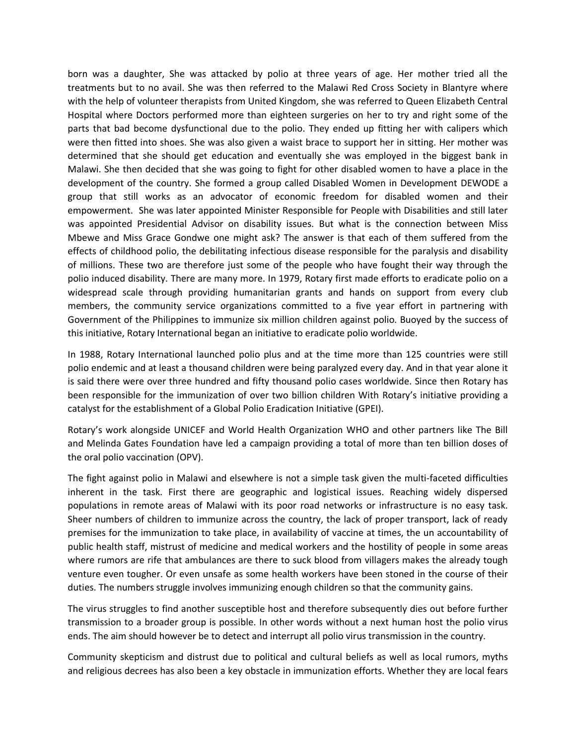born was a daughter, She was attacked by polio at three years of age. Her mother tried all the treatments but to no avail. She was then referred to the Malawi Red Cross Society in Blantyre where with the help of volunteer therapists from United Kingdom, she was referred to Queen Elizabeth Central Hospital where Doctors performed more than eighteen surgeries on her to try and right some of the parts that bad become dysfunctional due to the polio. They ended up fitting her with calipers which were then fitted into shoes. She was also given a waist brace to support her in sitting. Her mother was determined that she should get education and eventually she was employed in the biggest bank in Malawi. She then decided that she was going to fight for other disabled women to have a place in the development of the country. She formed a group called Disabled Women in Development DEWODE a group that still works as an advocator of economic freedom for disabled women and their empowerment. She was later appointed Minister Responsible for People with Disabilities and still later was appointed Presidential Advisor on disability issues. But what is the connection between Miss Mbewe and Miss Grace Gondwe one might ask? The answer is that each of them suffered from the effects of childhood polio, the debilitating infectious disease responsible for the paralysis and disability of millions. These two are therefore just some of the people who have fought their way through the polio induced disability. There are many more. In 1979, Rotary first made efforts to eradicate polio on a widespread scale through providing humanitarian grants and hands on support from every club members, the community service organizations committed to a five year effort in partnering with Government of the Philippines to immunize six million children against polio. Buoyed by the success of this initiative, Rotary International began an initiative to eradicate polio worldwide.

In 1988, Rotary International launched polio plus and at the time more than 125 countries were still polio endemic and at least a thousand children were being paralyzed every day. And in that year alone it is said there were over three hundred and fifty thousand polio cases worldwide. Since then Rotary has been responsible for the immunization of over two billion children With Rotary's initiative providing a catalyst for the establishment of a Global Polio Eradication Initiative (GPEI).

Rotary's work alongside UNICEF and World Health Organization WHO and other partners like The Bill and Melinda Gates Foundation have led a campaign providing a total of more than ten billion doses of the oral polio vaccination (OPV).

The fight against polio in Malawi and elsewhere is not a simple task given the multi-faceted difficulties inherent in the task. First there are geographic and logistical issues. Reaching widely dispersed populations in remote areas of Malawi with its poor road networks or infrastructure is no easy task. Sheer numbers of children to immunize across the country, the lack of proper transport, lack of ready premises for the immunization to take place, in availability of vaccine at times, the un accountability of public health staff, mistrust of medicine and medical workers and the hostility of people in some areas where rumors are rife that ambulances are there to suck blood from villagers makes the already tough venture even tougher. Or even unsafe as some health workers have been stoned in the course of their duties. The numbers struggle involves immunizing enough children so that the community gains.

The virus struggles to find another susceptible host and therefore subsequently dies out before further transmission to a broader group is possible. In other words without a next human host the polio virus ends. The aim should however be to detect and interrupt all polio virus transmission in the country.

Community skepticism and distrust due to political and cultural beliefs as well as local rumors, myths and religious decrees has also been a key obstacle in immunization efforts. Whether they are local fears